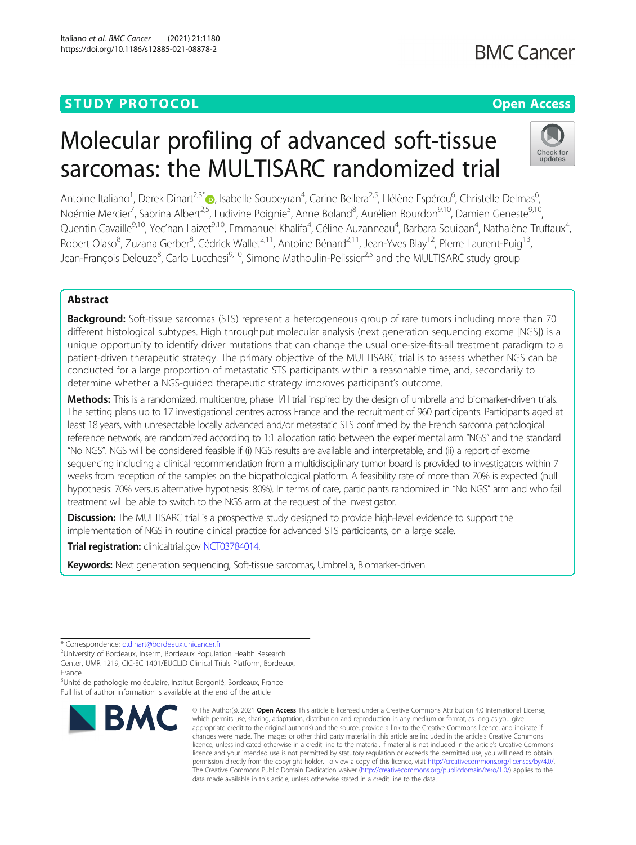## **STUDY PROTOCOL CONSUMING THE RESERVE ACCESS**

# Molecular profiling of advanced soft-tissue sarcomas: the MULTISARC randomized trial

Antoine Italiano<sup>1</sup>, Derek Dinart<sup>2,3[\\*](http://orcid.org/0000-0003-1815-3016)</sup>®, Isabelle Soubeyran<sup>4</sup>, Carine Bellera<sup>2,5</sup>, Hélène Espérou<sup>6</sup>, Christelle Delmas<sup>6</sup> י<br>, Noémie Mercier<sup>7</sup>, Sabrina Albert<sup>2,5</sup>, Ludivine Poignie<sup>5</sup>, Anne Boland<sup>8</sup>, Aurélien Bourdon<sup>9,10</sup>, Damien Geneste<sup>9,10</sup>, Quentin Cavaille<sup>9,10</sup>, Yec'han Laizet<sup>9,10</sup>, Emmanuel Khalifa<sup>4</sup>, Céline Auzanneau<sup>4</sup>, Barbara Squiban<sup>4</sup>, Nathalène Truffaux<sup>4</sup> , Robert Olaso<sup>8</sup>, Zuzana Gerber<sup>8</sup>, Cédrick Wallet<sup>2,11</sup>, Antoine Bénard<sup>2,11</sup>, Jean-Yves Blay<sup>12</sup>, Pierre Laurent-Puig<sup>13</sup>, Jean-François Deleuze<sup>8</sup>, Carlo Lucchesi<sup>9,10</sup>, Simone Mathoulin-Pelissier<sup>2,5</sup> and the MULTISARC study group

## Abstract

Background: Soft-tissue sarcomas (STS) represent a heterogeneous group of rare tumors including more than 70 different histological subtypes. High throughput molecular analysis (next generation sequencing exome [NGS]) is a unique opportunity to identify driver mutations that can change the usual one-size-fits-all treatment paradigm to a patient-driven therapeutic strategy. The primary objective of the MULTISARC trial is to assess whether NGS can be conducted for a large proportion of metastatic STS participants within a reasonable time, and, secondarily to determine whether a NGS-guided therapeutic strategy improves participant's outcome.

Methods: This is a randomized, multicentre, phase II/III trial inspired by the design of umbrella and biomarker-driven trials. The setting plans up to 17 investigational centres across France and the recruitment of 960 participants. Participants aged at least 18 years, with unresectable locally advanced and/or metastatic STS confirmed by the French sarcoma pathological reference network, are randomized according to 1:1 allocation ratio between the experimental arm "NGS" and the standard "No NGS". NGS will be considered feasible if (i) NGS results are available and interpretable, and (ii) a report of exome sequencing including a clinical recommendation from a multidisciplinary tumor board is provided to investigators within 7 weeks from reception of the samples on the biopathological platform. A feasibility rate of more than 70% is expected (null hypothesis: 70% versus alternative hypothesis: 80%). In terms of care, participants randomized in "No NGS" arm and who fail treatment will be able to switch to the NGS arm at the request of the investigator.

**Discussion:** The MULTISARC trial is a prospective study designed to provide high-level evidence to support the implementation of NGS in routine clinical practice for advanced STS participants, on a large scale.

Trial registration: clinicaltrial.gov [NCT03784014](https://clinicaltrials.gov/ct2/show/NCT03784014).

Keywords: Next generation sequencing, Soft-tissue sarcomas, Umbrella, Biomarker-driven

<sup>2</sup>University of Bordeaux, Inserm, Bordeaux Population Health Research Center, UMR 1219, CIC-EC 1401/EUCLID Clinical Trials Platform, Bordeaux, France

<sup>3</sup>Unité de pathologie moléculaire, Institut Bergonié, Bordeaux, France Full list of author information is available at the end of the article



<sup>©</sup> The Author(s), 2021 **Open Access** This article is licensed under a Creative Commons Attribution 4.0 International License, which permits use, sharing, adaptation, distribution and reproduction in any medium or format, as long as you give appropriate credit to the original author(s) and the source, provide a link to the Creative Commons licence, and indicate if changes were made. The images or other third party material in this article are included in the article's Creative Commons licence, unless indicated otherwise in a credit line to the material. If material is not included in the article's Creative Commons licence and your intended use is not permitted by statutory regulation or exceeds the permitted use, you will need to obtain permission directly from the copyright holder. To view a copy of this licence, visit [http://creativecommons.org/licenses/by/4.0/.](http://creativecommons.org/licenses/by/4.0/) The Creative Commons Public Domain Dedication waiver [\(http://creativecommons.org/publicdomain/zero/1.0/](http://creativecommons.org/publicdomain/zero/1.0/)) applies to the data made available in this article, unless otherwise stated in a credit line to the data.



<sup>\*</sup> Correspondence: [d.dinart@bordeaux.unicancer.fr](mailto:d.dinart@bordeaux.unicancer.fr) <sup>2</sup>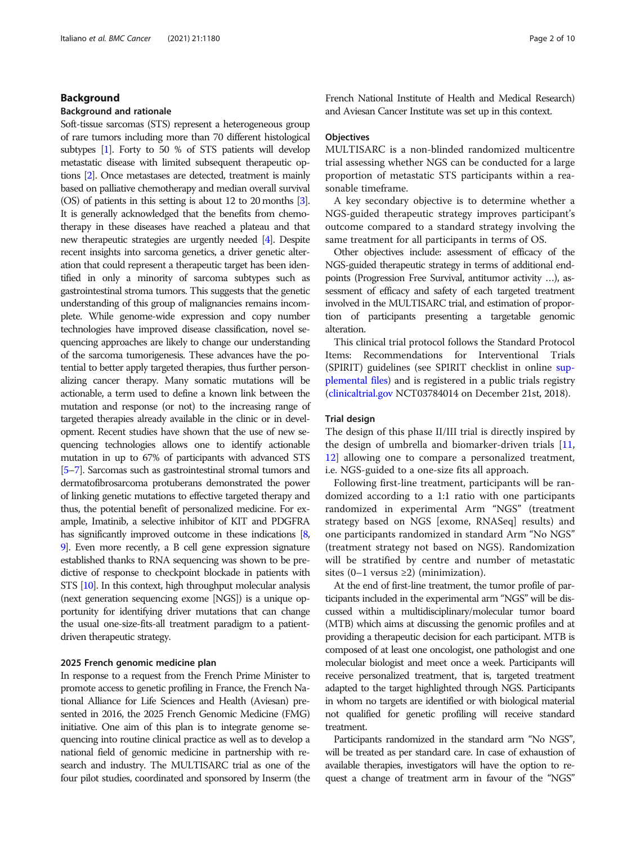#### Background

#### Background and rationale

Soft-tissue sarcomas (STS) represent a heterogeneous group of rare tumors including more than 70 different histological subtypes [\[1\]](#page-8-0). Forty to 50 % of STS patients will develop metastatic disease with limited subsequent therapeutic options [[2](#page-8-0)]. Once metastases are detected, treatment is mainly based on palliative chemotherapy and median overall survival (OS) of patients in this setting is about 12 to 20 months [\[3\]](#page-8-0). It is generally acknowledged that the benefits from chemotherapy in these diseases have reached a plateau and that new therapeutic strategies are urgently needed [\[4\]](#page-8-0). Despite recent insights into sarcoma genetics, a driver genetic alteration that could represent a therapeutic target has been identified in only a minority of sarcoma subtypes such as gastrointestinal stroma tumors. This suggests that the genetic understanding of this group of malignancies remains incomplete. While genome-wide expression and copy number technologies have improved disease classification, novel sequencing approaches are likely to change our understanding of the sarcoma tumorigenesis. These advances have the potential to better apply targeted therapies, thus further personalizing cancer therapy. Many somatic mutations will be actionable, a term used to define a known link between the mutation and response (or not) to the increasing range of targeted therapies already available in the clinic or in development. Recent studies have shown that the use of new sequencing technologies allows one to identify actionable mutation in up to 67% of participants with advanced STS [[5](#page-8-0)–[7](#page-8-0)]. Sarcomas such as gastrointestinal stromal tumors and dermatofibrosarcoma protuberans demonstrated the power of linking genetic mutations to effective targeted therapy and thus, the potential benefit of personalized medicine. For example, Imatinib, a selective inhibitor of KIT and PDGFRA has significantly improved outcome in these indications [\[8](#page-8-0), [9](#page-8-0)]. Even more recently, a B cell gene expression signature established thanks to RNA sequencing was shown to be predictive of response to checkpoint blockade in patients with STS [\[10](#page-8-0)]. In this context, high throughput molecular analysis (next generation sequencing exome [NGS]) is a unique opportunity for identifying driver mutations that can change the usual one-size-fits-all treatment paradigm to a patientdriven therapeutic strategy.

#### 2025 French genomic medicine plan

In response to a request from the French Prime Minister to promote access to genetic profiling in France, the French National Alliance for Life Sciences and Health (Aviesan) presented in 2016, the 2025 French Genomic Medicine (FMG) initiative. One aim of this plan is to integrate genome sequencing into routine clinical practice as well as to develop a national field of genomic medicine in partnership with research and industry. The MULTISARC trial as one of the four pilot studies, coordinated and sponsored by Inserm (the French National Institute of Health and Medical Research) and Aviesan Cancer Institute was set up in this context.

#### **Objectives**

MULTISARC is a non-blinded randomized multicentre trial assessing whether NGS can be conducted for a large proportion of metastatic STS participants within a reasonable timeframe.

A key secondary objective is to determine whether a NGS-guided therapeutic strategy improves participant's outcome compared to a standard strategy involving the same treatment for all participants in terms of OS.

Other objectives include: assessment of efficacy of the NGS-guided therapeutic strategy in terms of additional endpoints (Progression Free Survival, antitumor activity …), assessment of efficacy and safety of each targeted treatment involved in the MULTISARC trial, and estimation of proportion of participants presenting a targetable genomic alteration.

This clinical trial protocol follows the Standard Protocol Items: Recommendations for Interventional Trials (SPIRIT) guidelines (see SPIRIT checklist in online [sup](#page-8-0)[plemental files](#page-8-0)) and is registered in a public trials registry ([clinicaltrial.gov](http://clinicaltrial.gov) NCT03784014 on December 21st, 2018).

#### Trial design

The design of this phase II/III trial is directly inspired by the design of umbrella and biomarker-driven trials [[11](#page-8-0), [12\]](#page-8-0) allowing one to compare a personalized treatment, i.e. NGS-guided to a one-size fits all approach.

Following first-line treatment, participants will be randomized according to a 1:1 ratio with one participants randomized in experimental Arm "NGS" (treatment strategy based on NGS [exome, RNASeq] results) and one participants randomized in standard Arm "No NGS" (treatment strategy not based on NGS). Randomization will be stratified by centre and number of metastatic sites  $(0-1$  versus  $\geq 2$ ) (minimization).

At the end of first-line treatment, the tumor profile of participants included in the experimental arm "NGS" will be discussed within a multidisciplinary/molecular tumor board (MTB) which aims at discussing the genomic profiles and at providing a therapeutic decision for each participant. MTB is composed of at least one oncologist, one pathologist and one molecular biologist and meet once a week. Participants will receive personalized treatment, that is, targeted treatment adapted to the target highlighted through NGS. Participants in whom no targets are identified or with biological material not qualified for genetic profiling will receive standard treatment.

Participants randomized in the standard arm "No NGS", will be treated as per standard care. In case of exhaustion of available therapies, investigators will have the option to request a change of treatment arm in favour of the "NGS"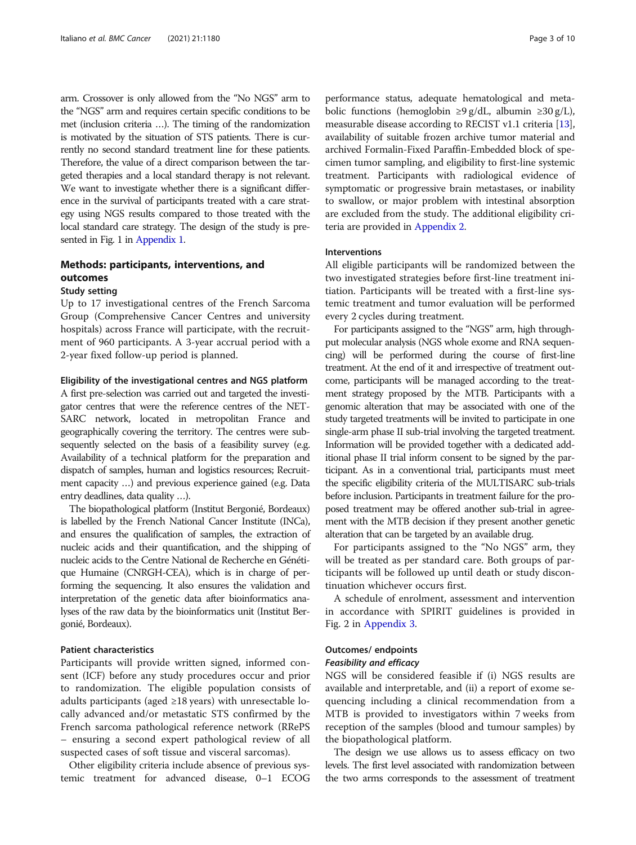arm. Crossover is only allowed from the "No NGS" arm to the "NGS" arm and requires certain specific conditions to be met (inclusion criteria …). The timing of the randomization is motivated by the situation of STS patients. There is currently no second standard treatment line for these patients. Therefore, the value of a direct comparison between the targeted therapies and a local standard therapy is not relevant. We want to investigate whether there is a significant difference in the survival of participants treated with a care strategy using NGS results compared to those treated with the local standard care strategy. The design of the study is presented in Fig. 1 in [Appendix 1.](#page-6-0)

## Methods: participants, interventions, and outcomes

## Study setting

Up to 17 investigational centres of the French Sarcoma Group (Comprehensive Cancer Centres and university hospitals) across France will participate, with the recruitment of 960 participants. A 3-year accrual period with a 2-year fixed follow-up period is planned.

#### Eligibility of the investigational centres and NGS platform

A first pre-selection was carried out and targeted the investigator centres that were the reference centres of the NET-SARC network, located in metropolitan France and geographically covering the territory. The centres were subsequently selected on the basis of a feasibility survey (e.g. Availability of a technical platform for the preparation and dispatch of samples, human and logistics resources; Recruitment capacity …) and previous experience gained (e.g. Data entry deadlines, data quality …).

The biopathological platform (Institut Bergonié, Bordeaux) is labelled by the French National Cancer Institute (INCa), and ensures the qualification of samples, the extraction of nucleic acids and their quantification, and the shipping of nucleic acids to the Centre National de Recherche en Génétique Humaine (CNRGH-CEA), which is in charge of performing the sequencing. It also ensures the validation and interpretation of the genetic data after bioinformatics analyses of the raw data by the bioinformatics unit (Institut Bergonié, Bordeaux).

#### Patient characteristics

Participants will provide written signed, informed consent (ICF) before any study procedures occur and prior to randomization. The eligible population consists of adults participants (aged  $\geq$ 18 years) with unresectable locally advanced and/or metastatic STS confirmed by the French sarcoma pathological reference network (RRePS – ensuring a second expert pathological review of all suspected cases of soft tissue and visceral sarcomas).

Other eligibility criteria include absence of previous systemic treatment for advanced disease, 0–1 ECOG performance status, adequate hematological and metabolic functions (hemoglobin ≥9 g/dL, albumin ≥30 g/L), measurable disease according to RECIST v1.1 criteria [[13](#page-8-0)], availability of suitable frozen archive tumor material and archived Formalin-Fixed Paraffin-Embedded block of specimen tumor sampling, and eligibility to first-line systemic treatment. Participants with radiological evidence of symptomatic or progressive brain metastases, or inability to swallow, or major problem with intestinal absorption are excluded from the study. The additional eligibility criteria are provided in [Appendix 2.](#page-6-0)

#### Interventions

All eligible participants will be randomized between the two investigated strategies before first-line treatment initiation. Participants will be treated with a first-line systemic treatment and tumor evaluation will be performed every 2 cycles during treatment.

For participants assigned to the "NGS" arm, high throughput molecular analysis (NGS whole exome and RNA sequencing) will be performed during the course of first-line treatment. At the end of it and irrespective of treatment outcome, participants will be managed according to the treatment strategy proposed by the MTB. Participants with a genomic alteration that may be associated with one of the study targeted treatments will be invited to participate in one single-arm phase II sub-trial involving the targeted treatment. Information will be provided together with a dedicated additional phase II trial inform consent to be signed by the participant. As in a conventional trial, participants must meet the specific eligibility criteria of the MULTISARC sub-trials before inclusion. Participants in treatment failure for the proposed treatment may be offered another sub-trial in agreement with the MTB decision if they present another genetic alteration that can be targeted by an available drug.

For participants assigned to the "No NGS" arm, they will be treated as per standard care. Both groups of participants will be followed up until death or study discontinuation whichever occurs first.

A schedule of enrolment, assessment and intervention in accordance with SPIRIT guidelines is provided in Fig. 2 in [Appendix 3.](#page-7-0)

#### Outcomes/ endpoints

#### Feasibility and efficacy

NGS will be considered feasible if (i) NGS results are available and interpretable, and (ii) a report of exome sequencing including a clinical recommendation from a MTB is provided to investigators within 7 weeks from reception of the samples (blood and tumour samples) by the biopathological platform.

The design we use allows us to assess efficacy on two levels. The first level associated with randomization between the two arms corresponds to the assessment of treatment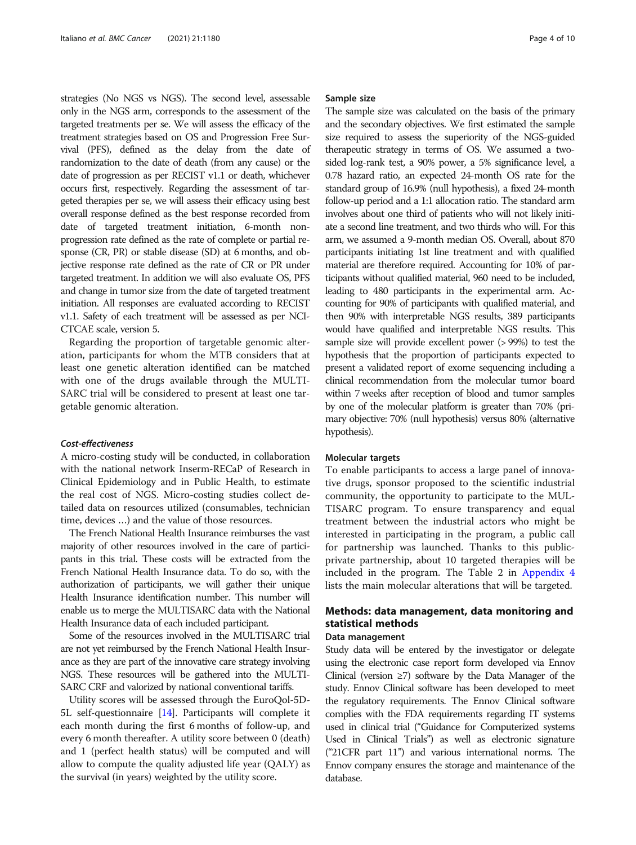strategies (No NGS vs NGS). The second level, assessable only in the NGS arm, corresponds to the assessment of the targeted treatments per se. We will assess the efficacy of the treatment strategies based on OS and Progression Free Survival (PFS), defined as the delay from the date of randomization to the date of death (from any cause) or the date of progression as per RECIST v1.1 or death, whichever occurs first, respectively. Regarding the assessment of targeted therapies per se, we will assess their efficacy using best overall response defined as the best response recorded from date of targeted treatment initiation, 6-month nonprogression rate defined as the rate of complete or partial response (CR, PR) or stable disease (SD) at 6 months, and objective response rate defined as the rate of CR or PR under targeted treatment. In addition we will also evaluate OS, PFS and change in tumor size from the date of targeted treatment initiation. All responses are evaluated according to RECIST v1.1. Safety of each treatment will be assessed as per NCI-CTCAE scale, version 5.

Regarding the proportion of targetable genomic alteration, participants for whom the MTB considers that at least one genetic alteration identified can be matched with one of the drugs available through the MULTI-SARC trial will be considered to present at least one targetable genomic alteration.

#### Cost-effectiveness

A micro-costing study will be conducted, in collaboration with the national network Inserm-RECaP of Research in Clinical Epidemiology and in Public Health, to estimate the real cost of NGS. Micro-costing studies collect detailed data on resources utilized (consumables, technician time, devices …) and the value of those resources.

The French National Health Insurance reimburses the vast majority of other resources involved in the care of participants in this trial. These costs will be extracted from the French National Health Insurance data. To do so, with the authorization of participants, we will gather their unique Health Insurance identification number. This number will enable us to merge the MULTISARC data with the National Health Insurance data of each included participant.

Some of the resources involved in the MULTISARC trial are not yet reimbursed by the French National Health Insurance as they are part of the innovative care strategy involving NGS. These resources will be gathered into the MULTI-SARC CRF and valorized by national conventional tariffs.

Utility scores will be assessed through the EuroQol-5D-5L self-questionnaire [\[14](#page-8-0)]. Participants will complete it each month during the first 6 months of follow-up, and every 6 month thereafter. A utility score between 0 (death) and 1 (perfect health status) will be computed and will allow to compute the quality adjusted life year (QALY) as the survival (in years) weighted by the utility score.

#### Sample size

The sample size was calculated on the basis of the primary and the secondary objectives. We first estimated the sample size required to assess the superiority of the NGS-guided therapeutic strategy in terms of OS. We assumed a twosided log-rank test, a 90% power, a 5% significance level, a 0.78 hazard ratio, an expected 24-month OS rate for the standard group of 16.9% (null hypothesis), a fixed 24-month follow-up period and a 1:1 allocation ratio. The standard arm involves about one third of patients who will not likely initiate a second line treatment, and two thirds who will. For this arm, we assumed a 9-month median OS. Overall, about 870 participants initiating 1st line treatment and with qualified material are therefore required. Accounting for 10% of participants without qualified material, 960 need to be included, leading to 480 participants in the experimental arm. Accounting for 90% of participants with qualified material, and then 90% with interpretable NGS results, 389 participants would have qualified and interpretable NGS results. This sample size will provide excellent power (> 99%) to test the hypothesis that the proportion of participants expected to present a validated report of exome sequencing including a clinical recommendation from the molecular tumor board within 7 weeks after reception of blood and tumor samples by one of the molecular platform is greater than 70% (primary objective: 70% (null hypothesis) versus 80% (alternative hypothesis).

#### Molecular targets

To enable participants to access a large panel of innovative drugs, sponsor proposed to the scientific industrial community, the opportunity to participate to the MUL-TISARC program. To ensure transparency and equal treatment between the industrial actors who might be interested in participating in the program, a public call for partnership was launched. Thanks to this publicprivate partnership, about 10 targeted therapies will be included in the program. The Table 2 in [Appendix 4](#page-7-0) lists the main molecular alterations that will be targeted.

## Methods: data management, data monitoring and statistical methods

#### Data management

Study data will be entered by the investigator or delegate using the electronic case report form developed via Ennov Clinical (version  $\geq$ 7) software by the Data Manager of the study. Ennov Clinical software has been developed to meet the regulatory requirements. The Ennov Clinical software complies with the FDA requirements regarding IT systems used in clinical trial ("Guidance for Computerized systems Used in Clinical Trials") as well as electronic signature ("21CFR part 11") and various international norms. The Ennov company ensures the storage and maintenance of the database.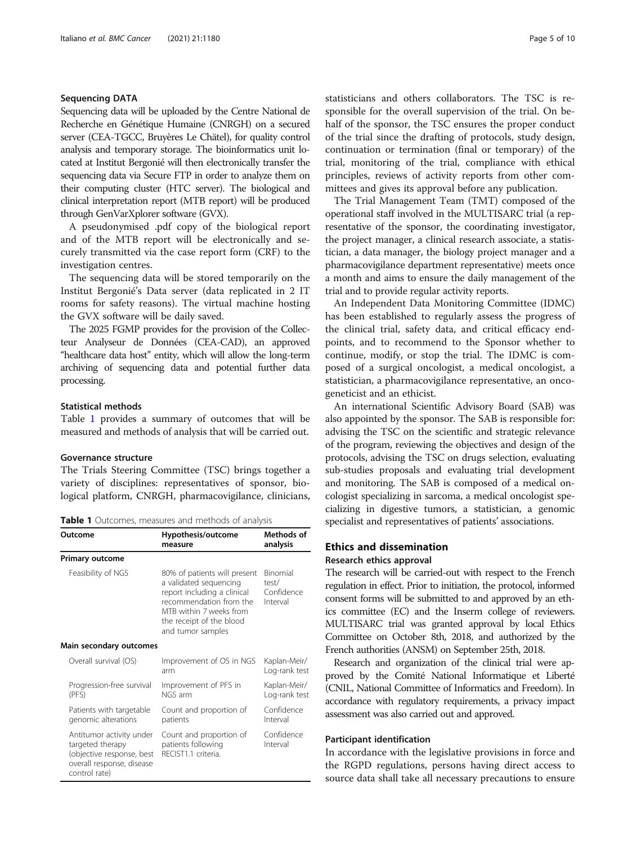#### Sequencing DATA

Sequencing data will be uploaded by the Centre National de Recherche en Génétique Humaine (CNRGH) on a secured server (CEA-TGCC, Bruyères Le Chätel), for quality control analysis and temporary storage. The bioinformatics unit located at Institut Bergonié will then electronically transfer the sequencing data via Secure FTP in order to analyze them on their computing cluster (HTC server). The biological and clinical interpretation report (MTB report) will be produced through GenVarXplorer software (GVX).

A pseudonymised .pdf copy of the biological report and of the MTB report will be electronically and securely transmitted via the case report form (CRF) to the investigation centres.

The sequencing data will be stored temporarily on the Institut Bergonié's Data server (data replicated in 2 IT rooms for safety reasons). The virtual machine hosting the GVX software will be daily saved.

The 2025 FGMP provides for the provision of the Collecteur Analyseur de Données (CEA-CAD), an approved "healthcare data host" entity, which will allow the long-term archiving of sequencing data and potential further data processing.

#### Statistical methods

Table 1 provides a summary of outcomes that will be measured and methods of analysis that will be carried out.

#### Governance structure

The Trials Steering Committee (TSC) brings together a variety of disciplines: representatives of sponsor, biological platform, CNRGH, pharmacovigilance, clinicians,

**Table 1** Outcomes, measures and methods of analysis

Outcome Hypothesis/outcome

| סענכטוווכ                                                                                                               | <b>Ilypothesis/vultonie</b><br>measure                                                                                                                                                       | וט נווטשווי<br>analysis                     |  |
|-------------------------------------------------------------------------------------------------------------------------|----------------------------------------------------------------------------------------------------------------------------------------------------------------------------------------------|---------------------------------------------|--|
| <b>Primary outcome</b>                                                                                                  |                                                                                                                                                                                              |                                             |  |
| Feasibility of NGS                                                                                                      | 80% of patients will present<br>a validated sequencing<br>report including a clinical<br>recommendation from the<br>MTB within 7 weeks from<br>the receipt of the blood<br>and tumor samples | Binomial<br>test/<br>Confidence<br>Interval |  |
| Main secondary outcomes                                                                                                 |                                                                                                                                                                                              |                                             |  |
| Overall survival (OS)                                                                                                   | Improvement of OS in NGS<br>arm                                                                                                                                                              | Kaplan-Meir/<br>Log-rank test               |  |
| Progression-free survival<br>(PFS)                                                                                      | Improvement of PFS in<br>NGS arm                                                                                                                                                             | Kaplan-Meir/<br>Log-rank test               |  |
| Patients with targetable<br>genomic alterations                                                                         | Count and proportion of<br>patients                                                                                                                                                          | Confidence<br>Interval                      |  |
| Antitumor activity under<br>targeted therapy<br>(objective response, best<br>overall response, disease<br>control rate) | Count and proportion of<br>patients following<br>RECIST1.1 criteria.                                                                                                                         | Confidence<br>Interval                      |  |

statisticians and others collaborators. The TSC is responsible for the overall supervision of the trial. On behalf of the sponsor, the TSC ensures the proper conduct of the trial since the drafting of protocols, study design, continuation or termination (final or temporary) of the trial, monitoring of the trial, compliance with ethical principles, reviews of activity reports from other committees and gives its approval before any publication.

The Trial Management Team (TMT) composed of the operational staff involved in the MULTISARC trial (a representative of the sponsor, the coordinating investigator, the project manager, a clinical research associate, a statistician, a data manager, the biology project manager and a pharmacovigilance department representative) meets once a month and aims to ensure the daily management of the trial and to provide regular activity reports.

An Independent Data Monitoring Committee (IDMC) has been established to regularly assess the progress of the clinical trial, safety data, and critical efficacy endpoints, and to recommend to the Sponsor whether to continue, modify, or stop the trial. The IDMC is composed of a surgical oncologist, a medical oncologist, a statistician, a pharmacovigilance representative, an oncogeneticist and an ethicist.

An international Scientific Advisory Board (SAB) was also appointed by the sponsor. The SAB is responsible for: advising the TSC on the scientific and strategic relevance of the program, reviewing the objectives and design of the protocols, advising the TSC on drugs selection, evaluating sub-studies proposals and evaluating trial development and monitoring. The SAB is composed of a medical oncologist specializing in sarcoma, a medical oncologist specializing in digestive tumors, a statistician, a genomic specialist and representatives of patients' associations.

## Ethics and dissemination

#### Research ethics approval

Methods of

The research will be carried-out with respect to the French regulation in effect. Prior to initiation, the protocol, informed consent forms will be submitted to and approved by an ethics committee (EC) and the Inserm college of reviewers. MULTISARC trial was granted approval by local Ethics Committee on October 8th, 2018, and authorized by the French authorities (ANSM) on September 25th, 2018.

Research and organization of the clinical trial were approved by the Comité National Informatique et Liberté (CNIL, National Committee of Informatics and Freedom). In accordance with regulatory requirements, a privacy impact assessment was also carried out and approved.

#### Participant identification

In accordance with the legislative provisions in force and the RGPD regulations, persons having direct access to source data shall take all necessary precautions to ensure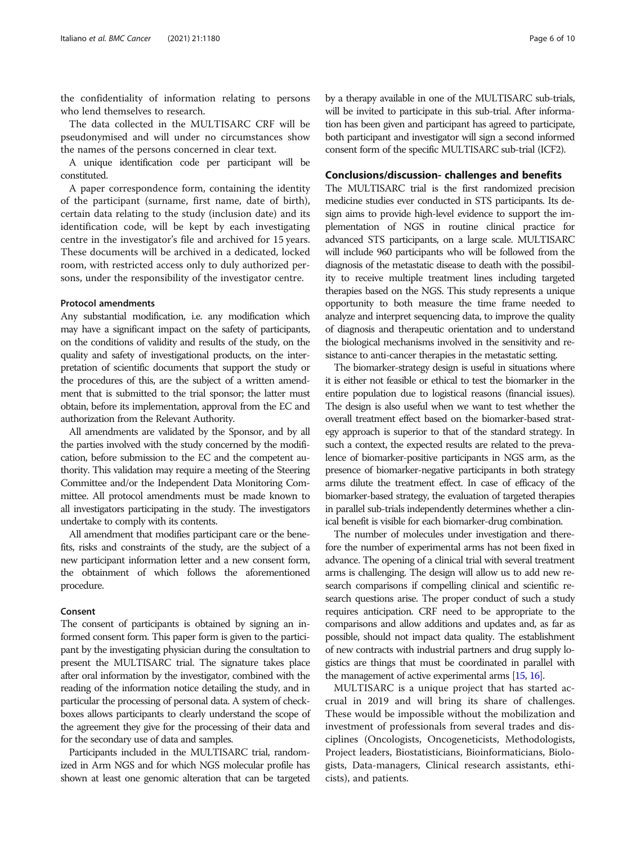the confidentiality of information relating to persons who lend themselves to research.

The data collected in the MULTISARC CRF will be pseudonymised and will under no circumstances show the names of the persons concerned in clear text.

A unique identification code per participant will be constituted.

A paper correspondence form, containing the identity of the participant (surname, first name, date of birth), certain data relating to the study (inclusion date) and its identification code, will be kept by each investigating centre in the investigator's file and archived for 15 years. These documents will be archived in a dedicated, locked room, with restricted access only to duly authorized persons, under the responsibility of the investigator centre.

#### Protocol amendments

Any substantial modification, i.e. any modification which may have a significant impact on the safety of participants, on the conditions of validity and results of the study, on the quality and safety of investigational products, on the interpretation of scientific documents that support the study or the procedures of this, are the subject of a written amendment that is submitted to the trial sponsor; the latter must obtain, before its implementation, approval from the EC and authorization from the Relevant Authority.

All amendments are validated by the Sponsor, and by all the parties involved with the study concerned by the modification, before submission to the EC and the competent authority. This validation may require a meeting of the Steering Committee and/or the Independent Data Monitoring Committee. All protocol amendments must be made known to all investigators participating in the study. The investigators undertake to comply with its contents.

All amendment that modifies participant care or the benefits, risks and constraints of the study, are the subject of a new participant information letter and a new consent form, the obtainment of which follows the aforementioned procedure.

#### Consent

The consent of participants is obtained by signing an informed consent form. This paper form is given to the participant by the investigating physician during the consultation to present the MULTISARC trial. The signature takes place after oral information by the investigator, combined with the reading of the information notice detailing the study, and in particular the processing of personal data. A system of checkboxes allows participants to clearly understand the scope of the agreement they give for the processing of their data and for the secondary use of data and samples.

Participants included in the MULTISARC trial, randomized in Arm NGS and for which NGS molecular profile has shown at least one genomic alteration that can be targeted

by a therapy available in one of the MULTISARC sub-trials, will be invited to participate in this sub-trial. After information has been given and participant has agreed to participate, both participant and investigator will sign a second informed consent form of the specific MULTISARC sub-trial (ICF2).

#### Conclusions/discussion- challenges and benefits

The MULTISARC trial is the first randomized precision medicine studies ever conducted in STS participants. Its design aims to provide high-level evidence to support the implementation of NGS in routine clinical practice for advanced STS participants, on a large scale. MULTISARC will include 960 participants who will be followed from the diagnosis of the metastatic disease to death with the possibility to receive multiple treatment lines including targeted therapies based on the NGS. This study represents a unique opportunity to both measure the time frame needed to analyze and interpret sequencing data, to improve the quality of diagnosis and therapeutic orientation and to understand the biological mechanisms involved in the sensitivity and resistance to anti-cancer therapies in the metastatic setting.

The biomarker-strategy design is useful in situations where it is either not feasible or ethical to test the biomarker in the entire population due to logistical reasons (financial issues). The design is also useful when we want to test whether the overall treatment effect based on the biomarker-based strategy approach is superior to that of the standard strategy. In such a context, the expected results are related to the prevalence of biomarker-positive participants in NGS arm, as the presence of biomarker-negative participants in both strategy arms dilute the treatment effect. In case of efficacy of the biomarker-based strategy, the evaluation of targeted therapies in parallel sub-trials independently determines whether a clinical benefit is visible for each biomarker-drug combination.

The number of molecules under investigation and therefore the number of experimental arms has not been fixed in advance. The opening of a clinical trial with several treatment arms is challenging. The design will allow us to add new research comparisons if compelling clinical and scientific research questions arise. The proper conduct of such a study requires anticipation. CRF need to be appropriate to the comparisons and allow additions and updates and, as far as possible, should not impact data quality. The establishment of new contracts with industrial partners and drug supply logistics are things that must be coordinated in parallel with the management of active experimental arms [[15,](#page-9-0) [16](#page-9-0)].

MULTISARC is a unique project that has started accrual in 2019 and will bring its share of challenges. These would be impossible without the mobilization and investment of professionals from several trades and disciplines (Oncologists, Oncogeneticists, Methodologists, Project leaders, Biostatisticians, Bioinformaticians, Biologists, Data-managers, Clinical research assistants, ethicists), and patients.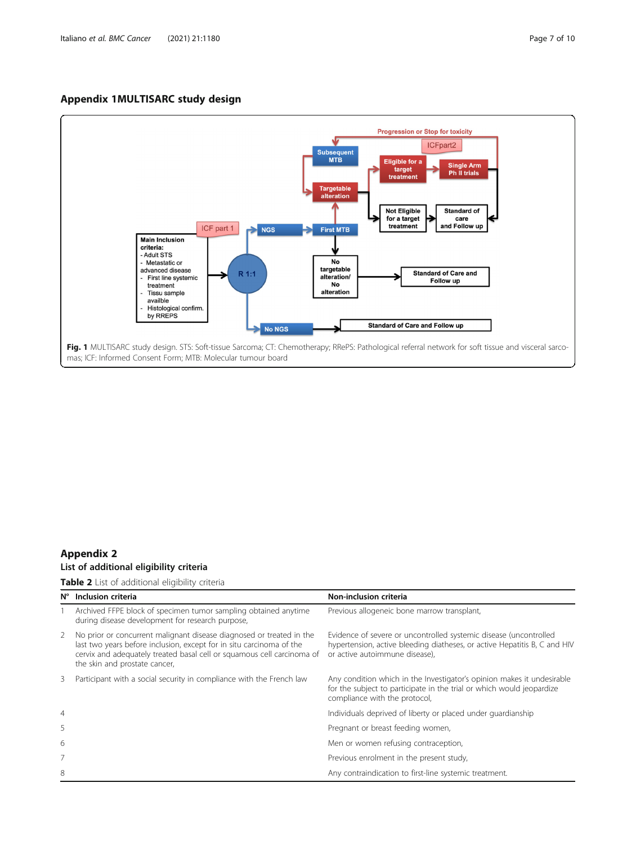## <span id="page-6-0"></span>Appendix 1MULTISARC study design



## Appendix 2 List of additional eligibility criteria

## Table 2 List of additional eligibility criteria

| Ν°             | Inclusion criteria                                                                                                                                                                                                                                      | Non-inclusion criteria                                                                                                                                                           |
|----------------|---------------------------------------------------------------------------------------------------------------------------------------------------------------------------------------------------------------------------------------------------------|----------------------------------------------------------------------------------------------------------------------------------------------------------------------------------|
|                | Archived FFPE block of specimen tumor sampling obtained anytime<br>during disease development for research purpose,                                                                                                                                     | Previous allogeneic bone marrow transplant,                                                                                                                                      |
| 2              | No prior or concurrent malignant disease diagnosed or treated in the<br>last two years before inclusion, except for in situ carcinoma of the<br>cervix and adequately treated basal cell or squamous cell carcinoma of<br>the skin and prostate cancer, | Evidence of severe or uncontrolled systemic disease (uncontrolled<br>hypertension, active bleeding diatheses, or active Hepatitis B, C and HIV<br>or active autoimmune disease), |
| 3              | Participant with a social security in compliance with the French law                                                                                                                                                                                    | Any condition which in the Investigator's opinion makes it undesirable<br>for the subject to participate in the trial or which would jeopardize<br>compliance with the protocol, |
| $\overline{4}$ |                                                                                                                                                                                                                                                         | Individuals deprived of liberty or placed under quardianship                                                                                                                     |
| 5              |                                                                                                                                                                                                                                                         | Pregnant or breast feeding women,                                                                                                                                                |
| 6              |                                                                                                                                                                                                                                                         | Men or women refusing contraception,                                                                                                                                             |
|                |                                                                                                                                                                                                                                                         | Previous enrolment in the present study,                                                                                                                                         |
| 8              |                                                                                                                                                                                                                                                         | Any contraindication to first-line systemic treatment.                                                                                                                           |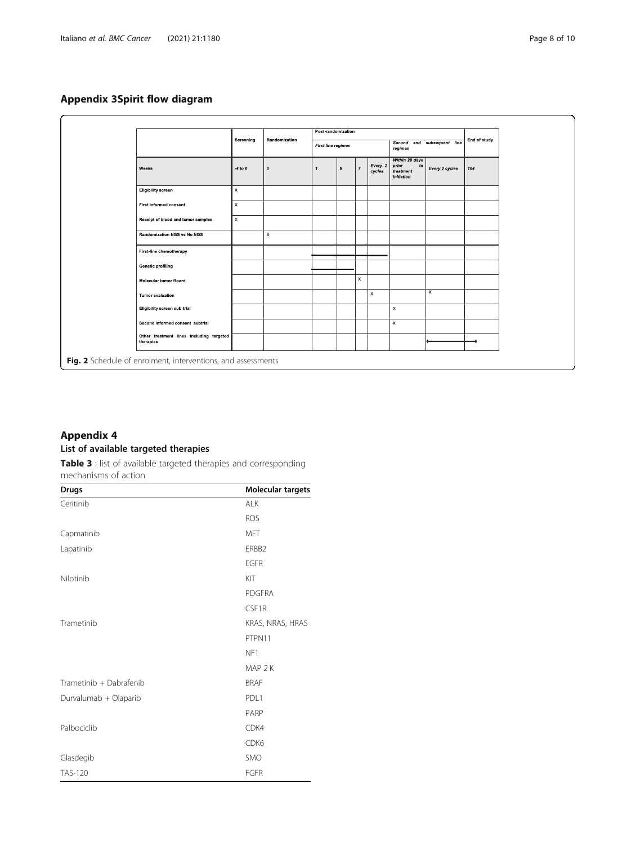## <span id="page-7-0"></span>Appendix 3Spirit flow diagram

|                                                              | Screening                 |                           | Post-randomization |                |                |                   |                                                                      |                         | End of study |
|--------------------------------------------------------------|---------------------------|---------------------------|--------------------|----------------|----------------|-------------------|----------------------------------------------------------------------|-------------------------|--------------|
|                                                              |                           |                           | First line regimen |                |                |                   | Second and subsequent line<br>regimen                                |                         |              |
| Weeks                                                        | $-4$ to $0$               | $\mathbf{0}$              | $\mathbf{1}$       | $6\phantom{1}$ | $\overline{7}$ | Every 2<br>cycles | Within 28 days<br>prior<br>$\mathfrak{g}$<br>treatment<br>initiation | Every 2 cycles          | 104          |
| <b>Eligibility screen</b>                                    | $\pmb{\times}$            |                           |                    |                |                |                   |                                                                      |                         |              |
| <b>First informed consent</b>                                | $\mathsf X$               |                           |                    |                |                |                   |                                                                      |                         |              |
| Receipt of blood and tumor samples                           | $\boldsymbol{\mathsf{x}}$ |                           |                    |                |                |                   |                                                                      |                         |              |
| <b>Randomization NGS vs No NGS</b>                           |                           | $\boldsymbol{\mathsf{x}}$ |                    |                |                |                   |                                                                      |                         |              |
| First line chemotherapy                                      |                           |                           |                    |                |                |                   |                                                                      |                         |              |
| <b>Genetic profiling</b>                                     |                           |                           |                    |                |                |                   |                                                                      |                         |              |
| <b>Molecular tumor Board</b>                                 |                           |                           |                    |                | x              |                   |                                                                      |                         |              |
| <b>Tumor evaluation</b>                                      |                           |                           |                    |                |                | x                 |                                                                      | $\overline{\mathsf{x}}$ |              |
| Eligibility screen sub trial                                 |                           |                           |                    |                |                |                   | x                                                                    |                         |              |
| Second informed consent subtrial                             |                           |                           |                    |                |                |                   | x                                                                    |                         |              |
| Other treatment lines including targeted<br>therapies        |                           |                           |                    |                |                |                   |                                                                      |                         |              |
| Fig. 2 Schedule of enrolment, interventions, and assessments |                           |                           |                    |                |                |                   |                                                                      |                         |              |

## Appendix 4 List of available targeted therapies

Table 3 : list of available targeted therapies and corresponding

mechanisms of action

| <b>Drugs</b>            | <b>Molecular targets</b> |
|-------------------------|--------------------------|
| Ceritinib               | ALK                      |
|                         | <b>ROS</b>               |
| Capmatinib              | <b>MET</b>               |
| Lapatinib               | ERBB2                    |
|                         | <b>EGFR</b>              |
| Nilotinib               | KIT                      |
|                         | <b>PDGFRA</b>            |
|                         | CSF1R                    |
| Trametinib              | KRAS, NRAS, HRAS         |
|                         | PTPN11                   |
|                         | NF1                      |
|                         | MAP <sub>2K</sub>        |
| Trametinib + Dabrafenib | <b>BRAF</b>              |
| Durvalumab + Olaparib   | PDL1                     |
|                         | PARP                     |
| Palbociclib             | CDK4                     |
|                         | CDK6                     |
| Glasdegib               | <b>SMO</b>               |
| <b>TAS-120</b>          | <b>FGFR</b>              |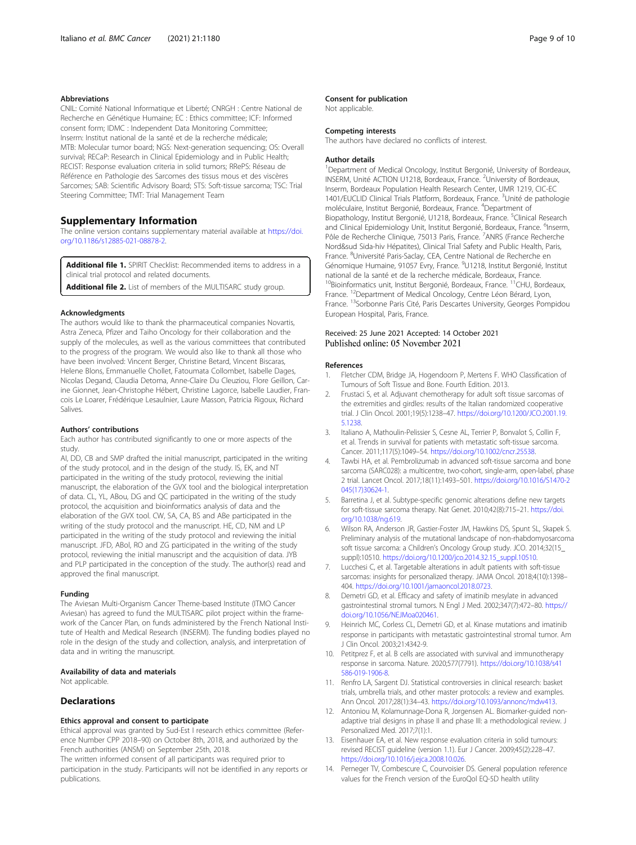#### <span id="page-8-0"></span>Abbreviations

CNIL: Comité National Informatique et Liberté; CNRGH : Centre National de Recherche en Génétique Humaine; EC : Ethics committee; ICF: Informed consent form; IDMC : Independent Data Monitoring Committee; Inserm: Institut national de la santé et de la recherche médicale; MTB: Molecular tumor board; NGS: Next-generation sequencing; OS: Overall survival; RECaP: Research in Clinical Epidemiology and in Public Health; RECIST: Response evaluation criteria in solid tumors; RRePS: Réseau de Référence en Pathologie des Sarcomes des tissus mous et des viscères Sarcomes; SAB: Scientific Advisory Board; STS: Soft-tissue sarcoma; TSC: Trial Steering Committee; TMT: Trial Management Team

#### Supplementary Information

The online version contains supplementary material available at [https://doi.](https://doi.org/10.1186/s12885-021-08878-2) [org/10.1186/s12885-021-08878-2.](https://doi.org/10.1186/s12885-021-08878-2)

Additional file 1. SPIRIT Checklist: Recommended items to address in a clinical trial protocol and related documents.

Additional file 2. List of members of the MULTISARC study group.

#### Acknowledgments

The authors would like to thank the pharmaceutical companies Novartis, Astra Zeneca, Pfizer and Taiho Oncology for their collaboration and the supply of the molecules, as well as the various committees that contributed to the progress of the program. We would also like to thank all those who have been involved: Vincent Berger, Christine Betard, Vincent Biscaras, Helene Blons, Emmanuelle Chollet, Fatoumata Collombet, Isabelle Dages, Nicolas Degand, Claudia Detoma, Anne-Claire Du Cleuziou, Flore Geillon, Carine Gionnet, Jean-Christophe Hébert, Christine Lagorce, Isabelle Laudier, Francois Le Loarer, Frédérique Lesaulnier, Laure Masson, Patricia Rigoux, Richard Salives.

#### Authors' contributions

Each author has contributed significantly to one or more aspects of the study.

AI, DD, CB and SMP drafted the initial manuscript, participated in the writing of the study protocol, and in the design of the study. IS, EK, and NT participated in the writing of the study protocol, reviewing the initial manuscript, the elaboration of the GVX tool and the biological interpretation of data. CL, YL, ABou, DG and QC participated in the writing of the study protocol, the acquisition and bioinformatics analysis of data and the elaboration of the GVX tool. CW, SA, CA, BS and ABe participated in the writing of the study protocol and the manuscript. HE, CD, NM and LP participated in the writing of the study protocol and reviewing the initial manuscript. JFD, ABol, RO and ZG participated in the writing of the study protocol, reviewing the initial manuscript and the acquisition of data. JYB and PLP participated in the conception of the study. The author(s) read and approved the final manuscript.

#### Funding

The Aviesan Multi-Organism Cancer Theme-based Institute (ITMO Cancer Aviesan) has agreed to fund the MULTISARC pilot project within the framework of the Cancer Plan, on funds administered by the French National Institute of Health and Medical Research (INSERM). The funding bodies played no role in the design of the study and collection, analysis, and interpretation of data and in writing the manuscript.

#### Availability of data and materials

Not applicable.

#### **Declarations**

### Ethics approval and consent to participate

Ethical approval was granted by Sud-Est I research ethics committee (Reference Number CPP 2018–90) on October 8th, 2018, and authorized by the French authorities (ANSM) on September 25th, 2018.

The written informed consent of all participants was required prior to participation in the study. Participants will not be identified in any reports or publications.

#### Consent for publication

Not applicable.

#### Competing interests

The authors have declared no conflicts of interest.

#### Author details

<sup>1</sup> Department of Medical Oncology, Institut Bergonié, University of Bordeaux, INSERM, Unité ACTION U1218, Bordeaux, France. <sup>2</sup>University of Bordeaux Inserm, Bordeaux Population Health Research Center, UMR 1219, CIC-EC 1401/EUCLID Clinical Trials Platform, Bordeaux, France. <sup>3</sup>Unité de pathologie moléculaire, Institut Bergonié, Bordeaux, France. <sup>4</sup> Department of Biopathology, Institut Bergonié, U1218, Bordeaux, France. <sup>5</sup>Clinical Research and Clinical Epidemiology Unit, Institut Bergonié, Bordeaux, France. <sup>6</sup>Inserm, Pôle de Recherche Clinique, 75013 Paris, France. <sup>7</sup>ANRS (France Recherche Nord&sud Sida-hiv Hépatites), Clinical Trial Safety and Public Health, Paris, France. <sup>8</sup>Université Paris-Saclay, CEA, Centre National de Recherche en Génomique Humaine, 91057 Evry, France. <sup>9</sup>U1218, Institut Bergonié, Institut national de la santé et de la recherche médicale, Bordeaux, France. <sup>10</sup>Bioinformatics unit, Institut Bergonié, Bordeaux, France. <sup>11</sup>CHU, Bordeaux, France. 12Department of Medical Oncology, Centre Léon Bérard, Lyon, France. <sup>13</sup>Sorbonne Paris Cité, Paris Descartes University, Georges Pompidou European Hospital, Paris, France.

#### Received: 25 June 2021 Accepted: 14 October 2021 Published online: 05 November 2021

#### References

- 1. Fletcher CDM, Bridge JA, Hogendoorn P, Mertens F. WHO Classification of Tumours of Soft Tissue and Bone. Fourth Edition. 2013.
- 2. Frustaci S, et al. Adjuvant chemotherapy for adult soft tissue sarcomas of the extremities and girdles: results of the Italian randomized cooperative trial. J Clin Oncol. 2001;19(5):1238–47. [https://doi.org/10.1200/JCO.2001.19.](https://doi.org/10.1200/JCO.2001.19.5.1238) [5.1238](https://doi.org/10.1200/JCO.2001.19.5.1238).
- 3. Italiano A, Mathoulin-Pelissier S, Cesne AL, Terrier P, Bonvalot S, Collin F, et al. Trends in survival for patients with metastatic soft-tissue sarcoma. Cancer. 2011;117(5):1049–54. [https://doi.org/10.1002/cncr.25538.](https://doi.org/10.1002/cncr.25538)
- 4. Tawbi HA, et al. Pembrolizumab in advanced soft-tissue sarcoma and bone sarcoma (SARC028): a multicentre, two-cohort, single-arm, open-label, phase 2 trial. Lancet Oncol. 2017;18(11):1493–501. [https://doi.org/10.1016/S1470-2](https://doi.org/10.1016/S1470-2045(17)30624-1) [045\(17\)30624-1](https://doi.org/10.1016/S1470-2045(17)30624-1).
- 5. Barretina J, et al. Subtype-specific genomic alterations define new targets for soft-tissue sarcoma therapy. Nat Genet. 2010;42(8):715–21. [https://doi.](https://doi.org/10.1038/ng.619) [org/10.1038/ng.619](https://doi.org/10.1038/ng.619).
- 6. Wilson RA, Anderson JR, Gastier-Foster JM, Hawkins DS, Spunt SL, Skapek S. Preliminary analysis of the mutational landscape of non-rhabdomyosarcoma soft tissue sarcoma: a Children's Oncology Group study. JCO. 2014;32(15\_ suppl):10510. [https://doi.org/10.1200/jco.2014.32.15\\_suppl.10510](https://doi.org/10.1200/jco.2014.32.15_suppl.10510).
- 7. Lucchesi C, et al. Targetable alterations in adult patients with soft-tissue sarcomas: insights for personalized therapy. JAMA Oncol. 2018;4(10):1398– 404. [https://doi.org/10.1001/jamaoncol.2018.0723.](https://doi.org/10.1001/jamaoncol.2018.0723)
- 8. Demetri GD, et al. Efficacy and safety of imatinib mesylate in advanced gastrointestinal stromal tumors. N Engl J Med. 2002;347(7):472–80. [https://](https://doi.org/10.1056/NEJMoa020461) [doi.org/10.1056/NEJMoa020461](https://doi.org/10.1056/NEJMoa020461).
- 9. Heinrich MC, Corless CL, Demetri GD, et al. Kinase mutations and imatinib response in participants with metastatic gastrointestinal stromal tumor. Am J Clin Oncol. 2003;21:4342-9.
- 10. Petitprez F, et al. B cells are associated with survival and immunotherapy response in sarcoma. Nature. 2020;577(7791). [https://doi.org/10.1038/s41](https://doi.org/10.1038/s41586-019-1906-8) [586-019-1906-8.](https://doi.org/10.1038/s41586-019-1906-8)
- 11. Renfro LA, Sargent DJ. Statistical controversies in clinical research: basket trials, umbrella trials, and other master protocols: a review and examples. Ann Oncol. 2017;28(1):34–43. <https://doi.org/10.1093/annonc/mdw413>.
- 12. Antoniou M, Kolamunnage-Dona R, Jorgensen AL. Biomarker-guided nonadaptive trial designs in phase II and phase III: a methodological review. J Personalized Med. 2017;7(1):1.
- 13. Eisenhauer EA, et al. New response evaluation criteria in solid tumours: revised RECIST guideline (version 1.1). Eur J Cancer. 2009;45(2):228–47. <https://doi.org/10.1016/j.ejca.2008.10.026>.
- 14. Perneger TV, Combescure C, Courvoisier DS. General population reference values for the French version of the EuroQol EQ-5D health utility